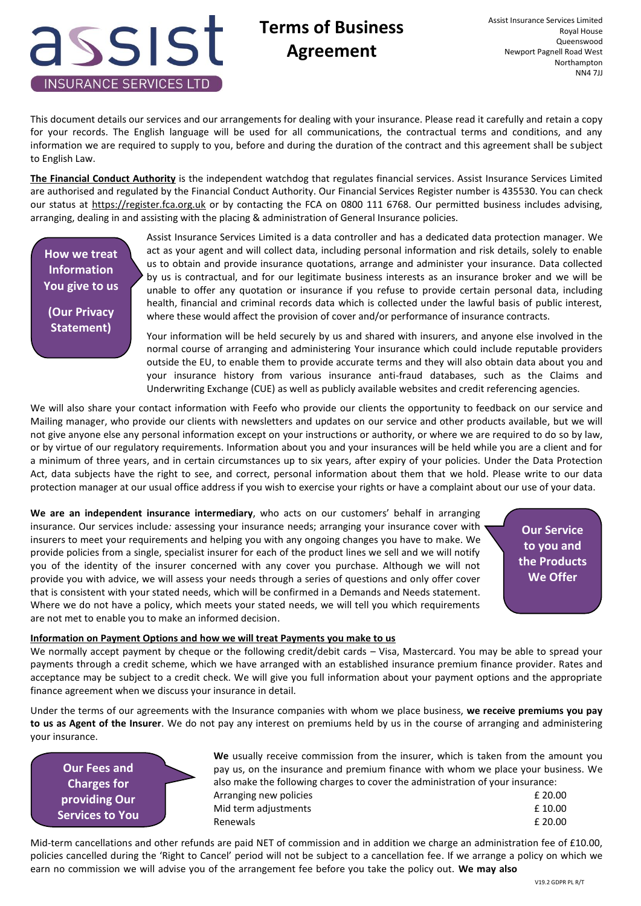# assist **INSURANCE SERVICES LTD**

# **Terms of Business Agreement**

This document details our services and our arrangements for dealing with your insurance. Please read it carefully and retain a copy for your records. The English language will be used for all communications, the contractual terms and conditions, and any information we are required to supply to you, before and during the duration of the contract and this agreement shall be subject to English Law.

**The Financial Conduct Authority** is the independent watchdog that regulates financial services. Assist Insurance Services Limited are authorised and regulated by the Financial Conduct Authority. Our Financial Services Register number is 435530. You can check our status at [https://register.fca.org.uk](https://register.fca.org.uk/) or by contacting the FCA on 0800 111 6768. Our permitted business includes advising, arranging, dealing in and assisting with the placing & administration of General Insurance policies.

**How we treat Information You give to us**

**(Our Privacy Statement)**

Assist Insurance Services Limited is a data controller and has a dedicated data protection manager. We act as your agent and will collect data, including personal information and risk details, solely to enable us to obtain and provide insurance quotations, arrange and administer your insurance. Data collected by us is contractual, and for our legitimate business interests as an insurance broker and we will be unable to offer any quotation or insurance if you refuse to provide certain personal data, including health, financial and criminal records data which is collected under the lawful basis of public interest, where these would affect the provision of cover and/or performance of insurance contracts.

Your information will be held securely by us and shared with insurers, and anyone else involved in the normal course of arranging and administering Your insurance which could include reputable providers outside the EU, to enable them to provide accurate terms and they will also obtain data about you and your insurance history from various insurance anti-fraud databases, such as the Claims and Underwriting Exchange (CUE) as well as publicly available websites and credit referencing agencies.

We will also share your contact information with Feefo who provide our clients the opportunity to feedback on our service and Mailing manager, who provide our clients with newsletters and updates on our service and other products available, but we will not give anyone else any personal information except on your instructions or authority, or where we are required to do so by law, or by virtue of our regulatory requirements. Information about you and your insurances will be held while you are a client and for a minimum of three years, and in certain circumstances up to six years, after expiry of your policies. Under the Data Protection Act, data subjects have the right to see, and correct, personal information about them that we hold. Please write to our data protection manager at our usual office address if you wish to exercise your rights or have a complaint about our use of your data.

**We are an independent insurance intermediary**, who acts on our customers' behalf in arranging insurance. Our services include*:* assessing your insurance needs; arranging your insurance cover with insurers to meet your requirements and helping you with any ongoing changes you have to make. We provide policies from a single, specialist insurer for each of the product lines we sell and we will notify you of the identity of the insurer concerned with any cover you purchase. Although we will not provide you with advice, we will assess your needs through a series of questions and only offer cover that is consistent with your stated needs, which will be confirmed in a Demands and Needs statement. Where we do not have a policy, which meets your stated needs, we will tell you which requirements are not met to enable you to make an informed decision.

**Our Service to you and the Products We Offer**

#### **Information on Payment Options and how we will treat Payments you make to us**

We normally accept payment by cheque or the following credit/debit cards – Visa, Mastercard. You may be able to spread your payments through a credit scheme, which we have arranged with an established insurance premium finance provider. Rates and acceptance may be subject to a credit check. We will give you full information about your payment options and the appropriate finance agreement when we discuss your insurance in detail*.*

Under the terms of our agreements with the Insurance companies with whom we place business, **we receive premiums you pay to us as Agent of the Insurer**. We do not pay any interest on premiums held by us in the course of arranging and administering your insurance.



**We** usually receive commission from the insurer, which is taken from the amount you pay us, on the insurance and premium finance with whom we place your business. We also make the following charges to cover the administration of your insurance: Arranging new policies **EXECUTE:** A 20.00 Mid term adjustments **E** 10.00

| Mid term adjustments | £10.00  |
|----------------------|---------|
| <b>Renewals</b>      | £ 20.00 |
|                      |         |

Mid-term cancellations and other refunds are paid NET of commission and in addition we charge an administration fee of £10.00, policies cancelled during the 'Right to Cancel' period will not be subject to a cancellation fee. If we arrange a policy on which we earn no commission we will advise you of the arrangement fee before you take the policy out. **We may also**